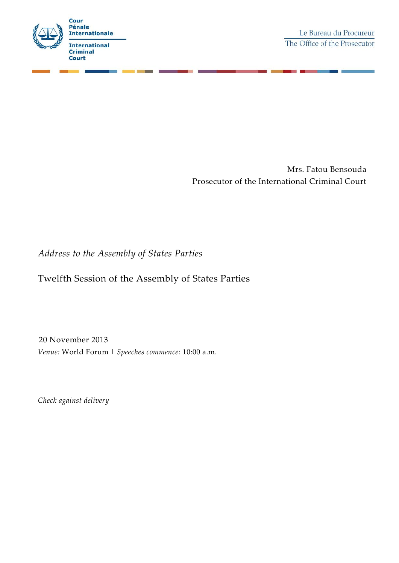

Mrs. Fatou Bensouda Prosecutor of the International Criminal Court

## *Address to the Assembly of States Parties*

## Twelfth Session of the Assembly of States Parties

20 November 2013 *Venue:* World Forum | *Speeches commence:* 10:00 a.m.

*Check against delivery*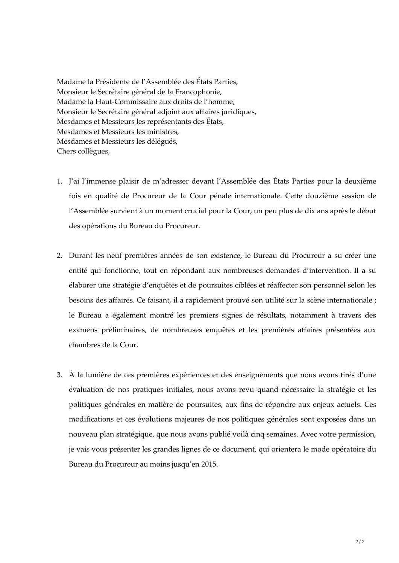Madame la Présidente de l'Assemblée des États Parties, Monsieur le Secrétaire général de la Francophonie, Madame la Haut-Commissaire aux droits de l'homme, Monsieur le Secrétaire général adjoint aux affaires juridiques, Mesdames et Messieurs les représentants des États, Mesdames et Messieurs les ministres, Mesdames et Messieurs les délégués, Chers collègues,

- 1. J'ai l'immense plaisir de m'adresser devant l'Assemblée des États Parties pour la deuxième fois en qualité de Procureur de la Cour pénale internationale. Cette douzième session de l'Assemblée survient à un moment crucial pour la Cour, un peu plus de dix ans après le début des opérations du Bureau du Procureur.
- 2. Durant les neuf premières années de son existence, le Bureau du Procureur a su créer une entité qui fonctionne, tout en répondant aux nombreuses demandes d'intervention. Il a su élaborer une stratégie d'enquêtes et de poursuites ciblées et réaffecter son personnel selon les besoins des affaires. Ce faisant, il a rapidement prouvé son utilité sur la scène internationale ; le Bureau a également montré les premiers signes de résultats, notamment à travers des examens préliminaires, de nombreuses enquêtes et les premières affaires présentées aux chambres de la Cour.
- 3. À la lumière de ces premières expériences et des enseignements que nous avons tirés d'une évaluation de nos pratiques initiales, nous avons revu quand nécessaire la stratégie et les politiques générales en matière de poursuites, aux fins de répondre aux enjeux actuels. Ces modifications et ces évolutions majeures de nos politiques générales sont exposées dans un nouveau plan stratégique, que nous avons publié voilà cinq semaines. Avec votre permission, je vais vous présenter les grandes lignes de ce document, qui orientera le mode opératoire du Bureau du Procureur au moins jusqu'en 2015.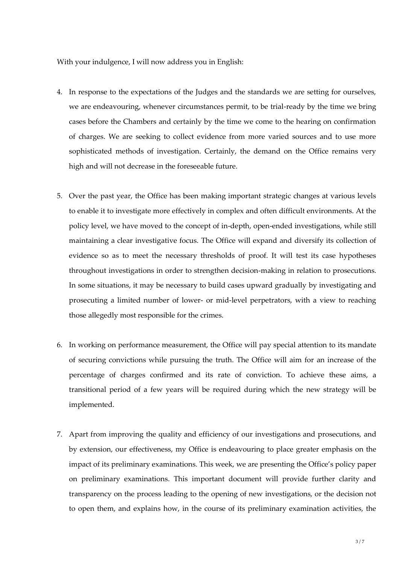With your indulgence, I will now address you in English:

- 4. In response to the expectations of the Judges and the standards we are setting for ourselves, we are endeavouring, whenever circumstances permit, to be trial-ready by the time we bring cases before the Chambers and certainly by the time we come to the hearing on confirmation of charges. We are seeking to collect evidence from more varied sources and to use more sophisticated methods of investigation. Certainly, the demand on the Office remains very high and will not decrease in the foreseeable future.
- 5. Over the past year, the Office has been making important strategic changes at various levels to enable it to investigate more effectively in complex and often difficult environments. At the policy level, we have moved to the concept of in-depth, open-ended investigations, while still maintaining a clear investigative focus. The Office will expand and diversify its collection of evidence so as to meet the necessary thresholds of proof. It will test its case hypotheses throughout investigations in order to strengthen decision-making in relation to prosecutions. In some situations, it may be necessary to build cases upward gradually by investigating and prosecuting a limited number of lower- or mid-level perpetrators, with a view to reaching those allegedly most responsible for the crimes.
- 6. In working on performance measurement, the Office will pay special attention to its mandate of securing convictions while pursuing the truth. The Office will aim for an increase of the percentage of charges confirmed and its rate of conviction. To achieve these aims, a transitional period of a few years will be required during which the new strategy will be implemented.
- 7. Apart from improving the quality and efficiency of our investigations and prosecutions, and by extension, our effectiveness, my Office is endeavouring to place greater emphasis on the impact of its preliminary examinations. This week, we are presenting the Office's policy paper on preliminary examinations. This important document will provide further clarity and transparency on the process leading to the opening of new investigations, or the decision not to open them, and explains how, in the course of its preliminary examination activities, the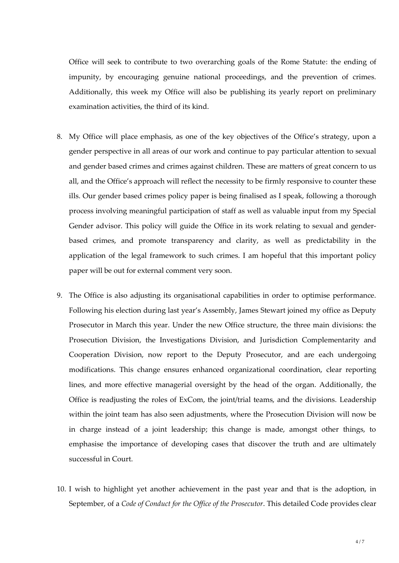Office will seek to contribute to two overarching goals of the Rome Statute: the ending of impunity, by encouraging genuine national proceedings, and the prevention of crimes. Additionally, this week my Office will also be publishing its yearly report on preliminary examination activities, the third of its kind.

- 8. My Office will place emphasis, as one of the key objectives of the Office's strategy, upon a gender perspective in all areas of our work and continue to pay particular attention to sexual and gender based crimes and crimes against children. These are matters of great concern to us all, and the Office's approach will reflect the necessity to be firmly responsive to counter these ills. Our gender based crimes policy paper is being finalised as I speak, following a thorough process involving meaningful participation of staff as well as valuable input from my Special Gender advisor. This policy will guide the Office in its work relating to sexual and genderbased crimes, and promote transparency and clarity, as well as predictability in the application of the legal framework to such crimes. I am hopeful that this important policy paper will be out for external comment very soon.
- 9. The Office is also adjusting its organisational capabilities in order to optimise performance. Following his election during last year's Assembly, James Stewart joined my office as Deputy Prosecutor in March this year. Under the new Office structure, the three main divisions: the Prosecution Division, the Investigations Division, and Jurisdiction Complementarity and Cooperation Division, now report to the Deputy Prosecutor, and are each undergoing modifications. This change ensures enhanced organizational coordination, clear reporting lines, and more effective managerial oversight by the head of the organ. Additionally, the Office is readjusting the roles of ExCom, the joint/trial teams, and the divisions. Leadership within the joint team has also seen adjustments, where the Prosecution Division will now be in charge instead of a joint leadership; this change is made, amongst other things, to emphasise the importance of developing cases that discover the truth and are ultimately successful in Court.
- 10. I wish to highlight yet another achievement in the past year and that is the adoption, in September, of a *Code of Conduct for the Office of the Prosecutor*. This detailed Code provides clear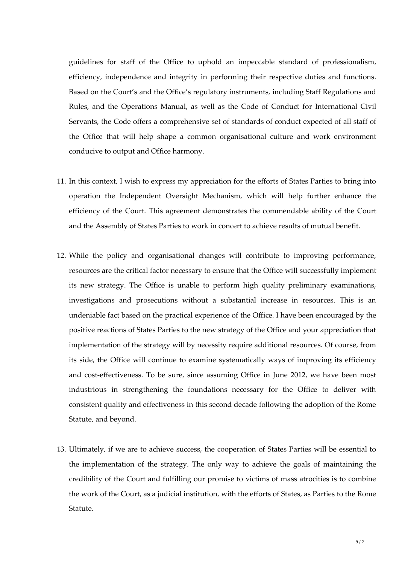guidelines for staff of the Office to uphold an impeccable standard of professionalism, efficiency, independence and integrity in performing their respective duties and functions. Based on the Court's and the Office's regulatory instruments, including Staff Regulations and Rules, and the Operations Manual, as well as the Code of Conduct for International Civil Servants, the Code offers a comprehensive set of standards of conduct expected of all staff of the Office that will help shape a common organisational culture and work environment conducive to output and Office harmony.

- 11. In this context, I wish to express my appreciation for the efforts of States Parties to bring into operation the Independent Oversight Mechanism, which will help further enhance the efficiency of the Court. This agreement demonstrates the commendable ability of the Court and the Assembly of States Parties to work in concert to achieve results of mutual benefit.
- 12. While the policy and organisational changes will contribute to improving performance, resources are the critical factor necessary to ensure that the Office will successfully implement its new strategy. The Office is unable to perform high quality preliminary examinations, investigations and prosecutions without a substantial increase in resources. This is an undeniable fact based on the practical experience of the Office. I have been encouraged by the positive reactions of States Parties to the new strategy of the Office and your appreciation that implementation of the strategy will by necessity require additional resources. Of course, from its side, the Office will continue to examine systematically ways of improving its efficiency and cost-effectiveness. To be sure, since assuming Office in June 2012, we have been most industrious in strengthening the foundations necessary for the Office to deliver with consistent quality and effectiveness in this second decade following the adoption of the Rome Statute, and beyond.
- 13. Ultimately, if we are to achieve success, the cooperation of States Parties will be essential to the implementation of the strategy. The only way to achieve the goals of maintaining the credibility of the Court and fulfilling our promise to victims of mass atrocities is to combine the work of the Court, as a judicial institution, with the efforts of States, as Parties to the Rome Statute.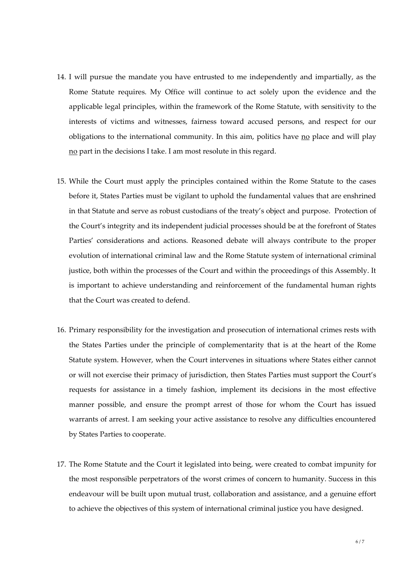- 14. I will pursue the mandate you have entrusted to me independently and impartially, as the Rome Statute requires. My Office will continue to act solely upon the evidence and the applicable legal principles, within the framework of the Rome Statute, with sensitivity to the interests of victims and witnesses, fairness toward accused persons, and respect for our obligations to the international community. In this aim, politics have no place and will play no part in the decisions I take. I am most resolute in this regard.
- 15. While the Court must apply the principles contained within the Rome Statute to the cases before it, States Parties must be vigilant to uphold the fundamental values that are enshrined in that Statute and serve as robust custodians of the treaty's object and purpose. Protection of the Court's integrity and its independent judicial processes should be at the forefront of States Parties' considerations and actions. Reasoned debate will always contribute to the proper evolution of international criminal law and the Rome Statute system of international criminal justice, both within the processes of the Court and within the proceedings of this Assembly. It is important to achieve understanding and reinforcement of the fundamental human rights that the Court was created to defend.
- 16. Primary responsibility for the investigation and prosecution of international crimes rests with the States Parties under the principle of complementarity that is at the heart of the Rome Statute system. However, when the Court intervenes in situations where States either cannot or will not exercise their primacy of jurisdiction, then States Parties must support the Court's requests for assistance in a timely fashion, implement its decisions in the most effective manner possible, and ensure the prompt arrest of those for whom the Court has issued warrants of arrest. I am seeking your active assistance to resolve any difficulties encountered by States Parties to cooperate.
- 17. The Rome Statute and the Court it legislated into being, were created to combat impunity for the most responsible perpetrators of the worst crimes of concern to humanity. Success in this endeavour will be built upon mutual trust, collaboration and assistance, and a genuine effort to achieve the objectives of this system of international criminal justice you have designed.